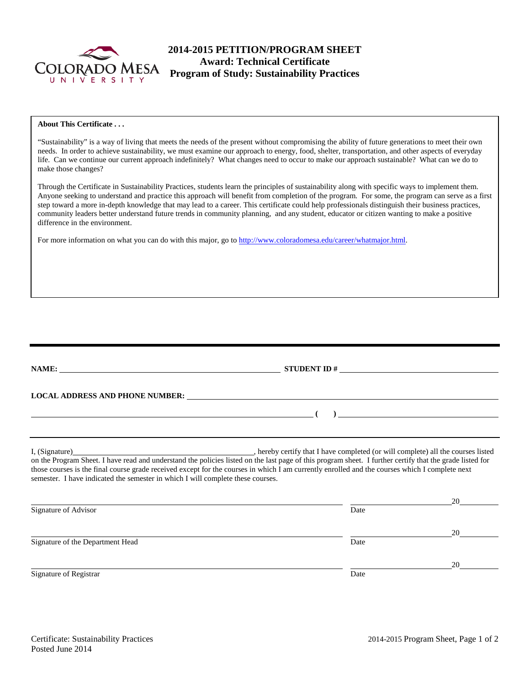

# **2014-2015 PETITION/PROGRAM SHEET Award: Technical Certificate Program of Study: Sustainability Practices**

# **About This Certificate . . .**

"Sustainability" is a way of living that meets the needs of the present without compromising the ability of future generations to meet their own needs. In order to achieve sustainability, we must examine our approach to energy, food, shelter, transportation, and other aspects of everyday life. Can we continue our current approach indefinitely? What changes need to occur to make our approach sustainable? What can we do to make those changes?

Through the Certificate in Sustainability Practices, students learn the principles of sustainability along with specific ways to implement them. Anyone seeking to understand and practice this approach will benefit from completion of the program. For some, the program can serve as a first step toward a more in-depth knowledge that may lead to a career. This certificate could help professionals distinguish their business practices, community leaders better understand future trends in community planning, and any student, educator or citizen wanting to make a positive difference in the environment.

For more information on what you can do with this major, go to [http://www.coloradomesa.edu/career/whatmajor.html.](http://www.coloradomesa.edu/career/whatmajor.html)

|                                                                                 | STUDENT ID $#$                                                                                                                                                                                                                                                                                             |    |  |  |  |  |  |
|---------------------------------------------------------------------------------|------------------------------------------------------------------------------------------------------------------------------------------------------------------------------------------------------------------------------------------------------------------------------------------------------------|----|--|--|--|--|--|
| <b>LOCAL ADDRESS AND PHONE NUMBER:</b>                                          |                                                                                                                                                                                                                                                                                                            |    |  |  |  |  |  |
|                                                                                 | $\overline{a}$                                                                                                                                                                                                                                                                                             |    |  |  |  |  |  |
|                                                                                 |                                                                                                                                                                                                                                                                                                            |    |  |  |  |  |  |
| semester. I have indicated the semester in which I will complete these courses. | on the Program Sheet. I have read and understand the policies listed on the last page of this program sheet. I further certify that the grade listed for<br>those courses is the final course grade received except for the courses in which I am currently enrolled and the courses which I complete next |    |  |  |  |  |  |
|                                                                                 |                                                                                                                                                                                                                                                                                                            | 20 |  |  |  |  |  |
| Signature of Advisor                                                            | Date                                                                                                                                                                                                                                                                                                       |    |  |  |  |  |  |
|                                                                                 |                                                                                                                                                                                                                                                                                                            | 20 |  |  |  |  |  |
| Signature of the Department Head                                                | Date                                                                                                                                                                                                                                                                                                       |    |  |  |  |  |  |
|                                                                                 |                                                                                                                                                                                                                                                                                                            | 20 |  |  |  |  |  |
| Signature of Registrar                                                          | Date                                                                                                                                                                                                                                                                                                       |    |  |  |  |  |  |